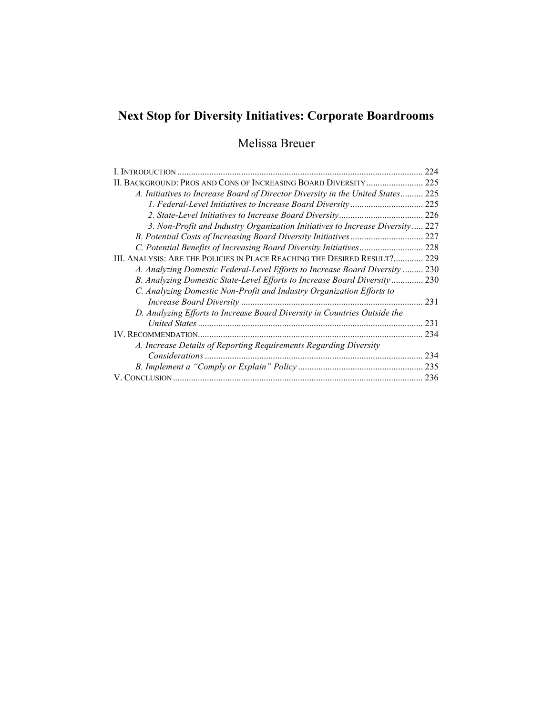# Next Stop for Diversity Initiatives: Corporate Boardrooms

## Melissa Breuer

| I. INTRODUCTION                                                              | 224   |
|------------------------------------------------------------------------------|-------|
| II. BACKGROUND: PROS AND CONS OF INCREASING BOARD DIVERSITY                  | 225   |
| A. Initiatives to Increase Board of Director Diversity in the United States  | 225   |
| 1. Federal-Level Initiatives to Increase Board Diversity                     | 225   |
|                                                                              | 226   |
| 3. Non-Profit and Industry Organization Initiatives to Increase Diversity    | .227  |
|                                                                              | 227   |
|                                                                              | 228   |
| III. ANALYSIS: ARE THE POLICIES IN PLACE REACHING THE DESIRED RESULT?        | 229   |
| A. Analyzing Domestic Federal-Level Efforts to Increase Board Diversity  230 |       |
| B. Analyzing Domestic State-Level Efforts to Increase Board Diversity        | . 230 |
| C. Analyzing Domestic Non-Profit and Industry Organization Efforts to        |       |
|                                                                              | 231   |
| D. Analyzing Efforts to Increase Board Diversity in Countries Outside the    |       |
|                                                                              | 231   |
|                                                                              | 234   |
| A. Increase Details of Reporting Requirements Regarding Diversity            |       |
|                                                                              | 234   |
|                                                                              | 235   |
|                                                                              | 236   |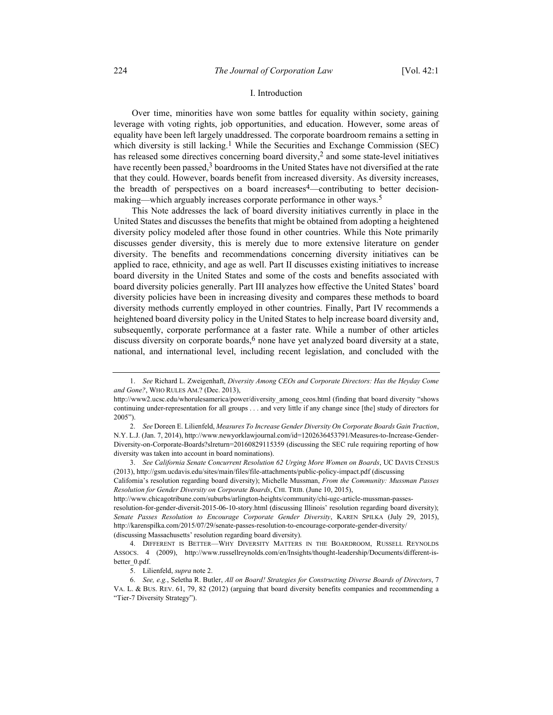## I. Introduction

Over time, minorities have won some battles for equality within society, gaining leverage with voting rights, job opportunities, and education. However, some areas of equality have been left largely unaddressed. The corporate boardroom remains a setting in which diversity is still lacking.<sup>1</sup> While the Securities and Exchange Commission (SEC) has released some directives concerning board diversity,<sup>2</sup> and some state-level initiatives have recently been passed, $3$  boardrooms in the United States have not diversified at the rate that they could. However, boards benefit from increased diversity. As diversity increases, the breadth of perspectives on a board increases<sup>4</sup>—contributing to better decisionmaking—which arguably increases corporate performance in other ways.<sup>5</sup>

This Note addresses the lack of board diversity initiatives currently in place in the United States and discusses the benefits that might be obtained from adopting a heightened diversity policy modeled after those found in other countries. While this Note primarily discusses gender diversity, this is merely due to more extensive literature on gender diversity. The benefits and recommendations concerning diversity initiatives can be applied to race, ethnicity, and age as well. Part II discusses existing initiatives to increase board diversity in the United States and some of the costs and benefits associated with board diversity policies generally. Part III analyzes how effective the United States' board diversity policies have been in increasing divesity and compares these methods to board diversity methods currently employed in other countries. Finally, Part IV recommends a heightened board diversity policy in the United States to help increase board diversity and, subsequently, corporate performance at a faster rate. While a number of other articles discuss diversity on corporate boards, $6$  none have yet analyzed board diversity at a state, national, and international level, including recent legislation, and concluded with the

 <sup>1.</sup> See Richard L. Zweigenhaft, Diversity Among CEOs and Corporate Directors: Has the Heyday Come and Gone?, WHO RULES AM.? (Dec. 2013),

http://www2.ucsc.edu/whorulesamerica/power/diversity\_among\_ceos.html (finding that board diversity "shows continuing under-representation for all groups . . . and very little if any change since [the] study of directors for 2005").

<sup>2.</sup> See Doreen E. Lilienfeld, Measures To Increase Gender Diversity On Corporate Boards Gain Traction, N.Y. L.J. (Jan. 7, 2014), http://www.newyorklawjournal.com/id=1202636453791/Measures-to-Increase-Gender-Diversity-on-Corporate-Boards?slreturn=20160829115359 (discussing the SEC rule requiring reporting of how diversity was taken into account in board nominations).

 <sup>3.</sup> See California Senate Concurrent Resolution 62 Urging More Women on Boards, UC DAVIS CENSUS (2013), http://gsm.ucdavis.edu/sites/main/files/file-attachments/public-policy-impact.pdf (discussing

California's resolution regarding board diversity); Michelle Mussman, From the Community: Mussman Passes Resolution for Gender Diversity on Corporate Boards, CHI. TRIB. (June 10, 2015),

http://www.chicagotribune.com/suburbs/arlington-heights/community/chi-ugc-article-mussman-passes-

resolution-for-gender-diversit-2015-06-10-story.html (discussing Illinois' resolution regarding board diversity); Senate Passes Resolution to Encourage Corporate Gender Diversity, KAREN SPILKA (July 29, 2015), http://karenspilka.com/2015/07/29/senate-passes-resolution-to-encourage-corporate-gender-diversity/ (discussing Massachusetts' resolution regarding board diversity).

 <sup>4.</sup> DIFFERENT IS BETTER—WHY DIVERSITY MATTERS IN THE BOARDROOM, RUSSELL REYNOLDS ASSOCS. 4 (2009), http://www.russellreynolds.com/en/Insights/thought-leadership/Documents/different-isbetter\_0.pdf.

 <sup>5.</sup> Lilienfeld, supra note 2.

 <sup>6.</sup> See, e.g., Seletha R. Butler, All on Board! Strategies for Constructing Diverse Boards of Directors, 7 VA. L. & BUS. REV. 61, 79, 82 (2012) (arguing that board diversity benefits companies and recommending a "Tier-7 Diversity Strategy").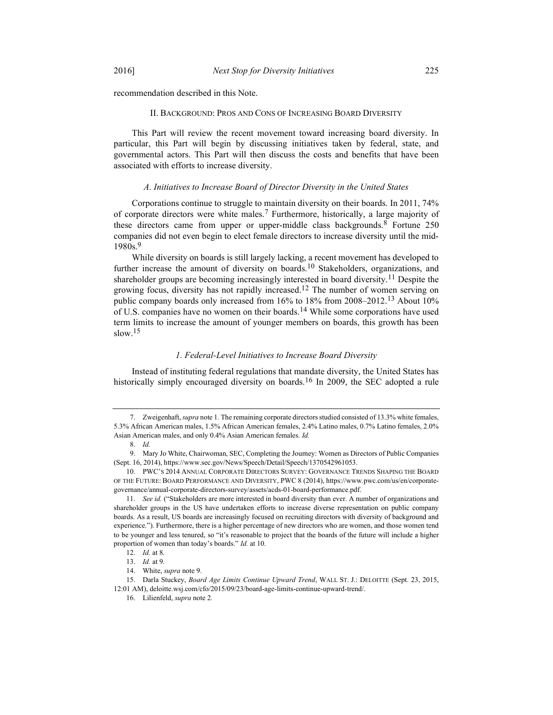recommendation described in this Note.

#### II. BACKGROUND: PROS AND CONS OF INCREASING BOARD DIVERSITY

This Part will review the recent movement toward increasing board diversity. In particular, this Part will begin by discussing initiatives taken by federal, state, and governmental actors. This Part will then discuss the costs and benefits that have been associated with efforts to increase diversity.

## A. Initiatives to Increase Board of Director Diversity in the United States

Corporations continue to struggle to maintain diversity on their boards. In 2011, 74% of corporate directors were white males.<sup>7</sup> Furthermore, historically, a large majority of these directors came from upper or upper-middle class backgrounds.<sup>8</sup> Fortune 250 companies did not even begin to elect female directors to increase diversity until the mid-1980s.9

While diversity on boards is still largely lacking, a recent movement has developed to further increase the amount of diversity on boards.<sup>10</sup> Stakeholders, organizations, and shareholder groups are becoming increasingly interested in board diversity.<sup>11</sup> Despite the growing focus, diversity has not rapidly increased.12 The number of women serving on public company boards only increased from 16% to 18% from 2008–2012.13 About 10% of U.S. companies have no women on their boards.14 While some corporations have used term limits to increase the amount of younger members on boards, this growth has been slow.<sup>15</sup>

#### 1. Federal-Level Initiatives to Increase Board Diversity

Instead of instituting federal regulations that mandate diversity, the United States has historically simply encouraged diversity on boards.<sup>16</sup> In 2009, the SEC adopted a rule

<sup>7.</sup> Zweigenhaft, *supra* note 1. The remaining corporate directors studied consisted of 13.3% white females, 5.3% African American males, 1.5% African American females, 2.4% Latino males, 0.7% Latino females, 2.0% Asian American males, and only 0.4% Asian American females. Id.

 <sup>8.</sup> Id.

 <sup>9.</sup> Mary Jo White, Chairwoman, SEC, Completing the Journey: Women as Directors of Public Companies (Sept. 16, 2014), https://www.sec.gov/News/Speech/Detail/Speech/1370542961053.

 <sup>10.</sup> PWC'S 2014 ANNUAL CORPORATE DIRECTORS SURVEY: GOVERNANCE TRENDS SHAPING THE BOARD OF THE FUTURE: BOARD PERFORMANCE AND DIVERSITY, PWC 8 (2014), https://www.pwc.com/us/en/corporategovernance/annual-corporate-directors-survey/assets/acds-01-board-performance.pdf.

 <sup>11.</sup> See id. ("Stakeholders are more interested in board diversity than ever. A number of organizations and shareholder groups in the US have undertaken efforts to increase diverse representation on public company boards. As a result, US boards are increasingly focused on recruiting directors with diversity of background and experience."). Furthermore, there is a higher percentage of new directors who are women, and those women tend to be younger and less tenured, so "it's reasonable to project that the boards of the future will include a higher proportion of women than today's boards." Id. at 10.

 <sup>12.</sup> Id. at 8.

 <sup>13.</sup> Id. at 9.

<sup>14.</sup> White, supra note 9.

 <sup>15.</sup> Darla Stuckey, Board Age Limits Continue Upward Trend, WALL ST. J.: DELOITTE (Sept. 23, 2015, 12:01 AM), deloitte.wsj.com/cfo/2015/09/23/board-age-limits-continue-upward-trend/.

 <sup>16.</sup> Lilienfeld, supra note 2.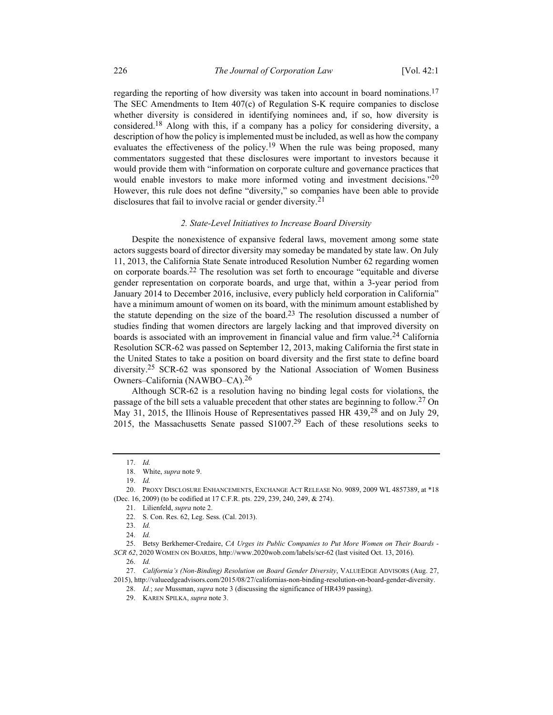regarding the reporting of how diversity was taken into account in board nominations.<sup>17</sup> The SEC Amendments to Item 407(c) of Regulation S-K require companies to disclose whether diversity is considered in identifying nominees and, if so, how diversity is considered.18 Along with this, if a company has a policy for considering diversity, a description of how the policy is implemented must be included, as well as how the company evaluates the effectiveness of the policy.<sup>19</sup> When the rule was being proposed, many commentators suggested that these disclosures were important to investors because it would provide them with "information on corporate culture and governance practices that would enable investors to make more informed voting and investment decisions."20 However, this rule does not define "diversity," so companies have been able to provide disclosures that fail to involve racial or gender diversity.21

## 2. State-Level Initiatives to Increase Board Diversity

Despite the nonexistence of expansive federal laws, movement among some state actors suggests board of director diversity may someday be mandated by state law. On July 11, 2013, the California State Senate introduced Resolution Number 62 regarding women on corporate boards.<sup>22</sup> The resolution was set forth to encourage "equitable and diverse gender representation on corporate boards, and urge that, within a 3-year period from January 2014 to December 2016, inclusive, every publicly held corporation in California" have a minimum amount of women on its board, with the minimum amount established by the statute depending on the size of the board.<sup>23</sup> The resolution discussed a number of studies finding that women directors are largely lacking and that improved diversity on boards is associated with an improvement in financial value and firm value.<sup>24</sup> California Resolution SCR-62 was passed on September 12, 2013, making California the first state in the United States to take a position on board diversity and the first state to define board diversity.25 SCR-62 was sponsored by the National Association of Women Business Owners–California (NAWBO–CA).26

Although SCR-62 is a resolution having no binding legal costs for violations, the passage of the bill sets a valuable precedent that other states are beginning to follow.<sup>27</sup> On May 31, 2015, the Illinois House of Representatives passed HR 439,<sup>28</sup> and on July 29, 2015, the Massachusetts Senate passed  $S1007<sup>29</sup>$  Each of these resolutions seeks to

 <sup>17.</sup> Id.

<sup>18.</sup> White, supra note 9.

 <sup>19.</sup> Id.

 <sup>20.</sup> PROXY DISCLOSURE ENHANCEMENTS, EXCHANGE ACT RELEASE NO. 9089, 2009 WL 4857389, at \*18 (Dec. 16, 2009) (to be codified at 17 C.F.R. pts. 229, 239, 240, 249, & 274).

 <sup>21.</sup> Lilienfeld, supra note 2.

 <sup>22.</sup> S. Con. Res. 62, Leg. Sess. (Cal. 2013).

 <sup>23.</sup> Id.

 <sup>24.</sup> Id.

 <sup>25.</sup> Betsy Berkhemer-Credaire, CA Urges its Public Companies to Put More Women on Their Boards - SCR 62, 2020 WOMEN ON BOARDS, http://www.2020wob.com/labels/scr-62 (last visited Oct. 13, 2016).

 <sup>26.</sup> Id.

 <sup>27.</sup> California's (Non-Binding) Resolution on Board Gender Diversity, VALUEEDGE ADVISORS (Aug. 27, 2015), http://valueedgeadvisors.com/2015/08/27/californias-non-binding-resolution-on-board-gender-diversity.

<sup>28.</sup> *Id.; see* Mussman, *supra* note 3 (discussing the significance of HR439 passing).

 <sup>29.</sup> KAREN SPILKA, supra note 3.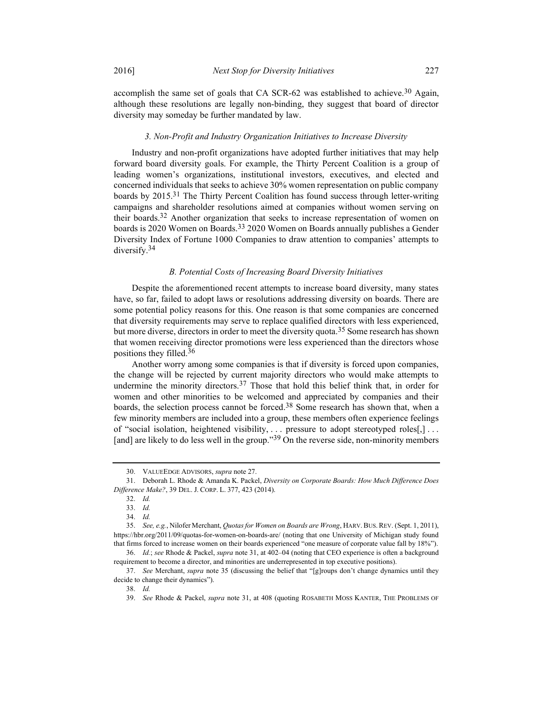accomplish the same set of goals that CA SCR-62 was established to achieve.<sup>30</sup> Again, although these resolutions are legally non-binding, they suggest that board of director diversity may someday be further mandated by law.

#### 3. Non-Profit and Industry Organization Initiatives to Increase Diversity

Industry and non-profit organizations have adopted further initiatives that may help forward board diversity goals. For example, the Thirty Percent Coalition is a group of leading women's organizations, institutional investors, executives, and elected and concerned individuals that seeks to achieve 30% women representation on public company boards by  $2015<sup>31</sup>$  The Thirty Percent Coalition has found success through letter-writing campaigns and shareholder resolutions aimed at companies without women serving on their boards.32 Another organization that seeks to increase representation of women on boards is 2020 Women on Boards.33 2020 Women on Boards annually publishes a Gender Diversity Index of Fortune 1000 Companies to draw attention to companies' attempts to diversify.34

## B. Potential Costs of Increasing Board Diversity Initiatives

Despite the aforementioned recent attempts to increase board diversity, many states have, so far, failed to adopt laws or resolutions addressing diversity on boards. There are some potential policy reasons for this. One reason is that some companies are concerned that diversity requirements may serve to replace qualified directors with less experienced, but more diverse, directors in order to meet the diversity quota.<sup>35</sup> Some research has shown that women receiving director promotions were less experienced than the directors whose positions they filled.<sup>36</sup>

Another worry among some companies is that if diversity is forced upon companies, the change will be rejected by current majority directors who would make attempts to undermine the minority directors.<sup>37</sup> Those that hold this belief think that, in order for women and other minorities to be welcomed and appreciated by companies and their boards, the selection process cannot be forced.<sup>38</sup> Some research has shown that, when a few minority members are included into a group, these members often experience feelings of "social isolation, heightened visibility, ... pressure to adopt stereotyped roles[,] ... [and] are likely to do less well in the group."<sup>39</sup> On the reverse side, non-minority members

 <sup>30.</sup> VALUEEDGE ADVISORS, supra note 27.

 <sup>31.</sup> Deborah L. Rhode & Amanda K. Packel, Diversity on Corporate Boards: How Much Difference Does Difference Make?, 39 DEL. J. CORP. L. 377, 423 (2014).

 <sup>32.</sup> Id.

 <sup>33.</sup> Id.

 <sup>34.</sup> Id.

<sup>35.</sup> See, e.g., Nilofer Merchant, Quotas for Women on Boards are Wrong, HARV. BUS. REV. (Sept. 1, 2011), https://hbr.org/2011/09/quotas-for-women-on-boards-are/ (noting that one University of Michigan study found that firms forced to increase women on their boards experienced "one measure of corporate value fall by 18%"). 36. Id.; see Rhode & Packel, supra note 31, at 402–04 (noting that CEO experience is often a background

requirement to become a director, and minorities are underrepresented in top executive positions).

 <sup>37.</sup> See Merchant, supra note 35 (discussing the belief that "[g]roups don't change dynamics until they decide to change their dynamics").

 <sup>38.</sup> Id.

<sup>39.</sup> See Rhode & Packel, *supra* note 31, at 408 (quoting ROSABETH MOSS KANTER, THE PROBLEMS OF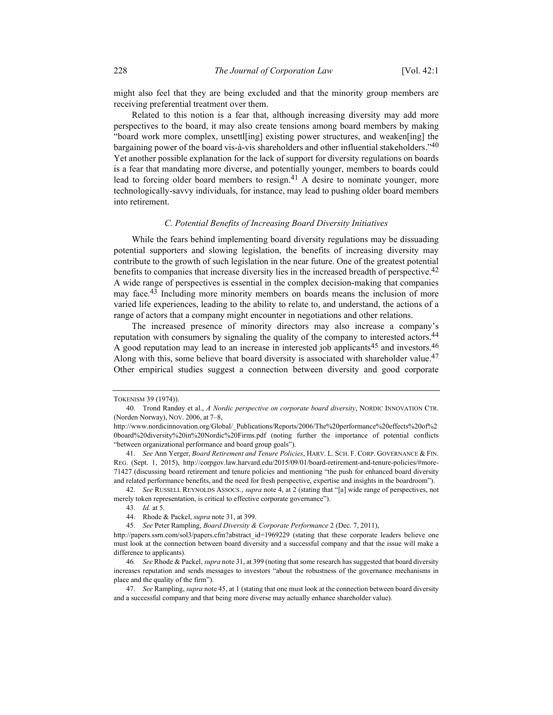might also feel that they are being excluded and that the minority group members are receiving preferential treatment over them.

Related to this notion is a fear that, although increasing diversity may add more perspectives to the board, it may also create tensions among board members by making "board work more complex, unsettl[ing] existing power structures, and weaken[ing] the bargaining power of the board vis-à-vis shareholders and other influential stakeholders."40 Yet another possible explanation for the lack of support for diversity regulations on boards is a fear that mandating more diverse, and potentially younger, members to boards could lead to forcing older board members to resign.<sup>41</sup> A desire to nominate younger, more technologically-savvy individuals, for instance, may lead to pushing older board members into retirement.

## C. Potential Benefits of Increasing Board Diversity Initiatives

While the fears behind implementing board diversity regulations may be dissuading potential supporters and slowing legislation, the benefits of increasing diversity may contribute to the growth of such legislation in the near future. One of the greatest potential benefits to companies that increase diversity lies in the increased breadth of perspective.<sup>42</sup> A wide range of perspectives is essential in the complex decision-making that companies may face.<sup>43</sup> Including more minority members on boards means the inclusion of more varied life experiences, leading to the ability to relate to, and understand, the actions of a range of actors that a company might encounter in negotiations and other relations.

The increased presence of minority directors may also increase a company's reputation with consumers by signaling the quality of the company to interested actors.<sup>44</sup> A good reputation may lead to an increase in interested job applicants<sup>45</sup> and investors.<sup>46</sup> Along with this, some believe that board diversity is associated with shareholder value.<sup>47</sup> Other empirical studies suggest a connection between diversity and good corporate

TOKENISM 39 (1974)).

 <sup>40.</sup> Trond Randøy et al., A Nordic perspective on corporate board diversity, NORDIC INNOVATION CTR. (Norden Norway), NOV. 2006, at 7–8,

http://www.nordicinnovation.org/Global/\_Publications/Reports/2006/The%20performance%20effects%20of%2 0board%20diversity%20in%20Nordic%20Firms.pdf (noting further the importance of potential conflicts "between organizational performance and board group goals").

<sup>41.</sup> See Ann Yerger, Board Retirement and Tenure Policies, HARV. L. SCH. F. CORP. GOVERNANCE & FIN. REG. (Sept. 1, 2015), http://corpgov.law.harvard.edu/2015/09/01/board-retirement-and-tenure-policies/#more-71427 (discussing board retirement and tenure policies and mentioning "the push for enhanced board diversity and related performance benefits, and the need for fresh perspective, expertise and insights in the boardroom").

<sup>42.</sup> See RUSSELL REYNOLDS ASSOCS., *supra* note 4, at 2 (stating that "[a] wide range of perspectives, not merely token representation, is critical to effective corporate governance").

 <sup>43.</sup> Id. at 5.

<sup>44.</sup> Rhode & Packel, *supra* note 31, at 399.

 <sup>45.</sup> See Peter Rampling, Board Diversity & Corporate Performance 2 (Dec. 7, 2011),

http://papers.ssrn.com/sol3/papers.cfm?abstract\_id=1969229 (stating that these corporate leaders believe one must look at the connection between board diversity and a successful company and that the issue will make a difference to applicants).

<sup>46</sup>. See Rhode & Packel, supra note 31, at 399 (noting that some research has suggested that board diversity increases reputation and sends messages to investors "about the robustness of the governance mechanisms in place and the quality of the firm").

<sup>47.</sup> See Rampling, *supra* note 45, at 1 (stating that one must look at the connection between board diversity and a successful company and that being more diverse may actually enhance shareholder value).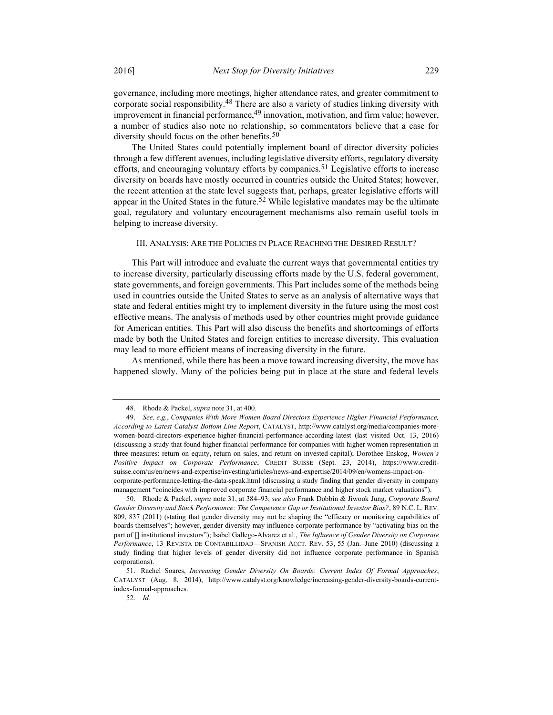governance, including more meetings, higher attendance rates, and greater commitment to corporate social responsibility.<sup>48</sup> There are also a variety of studies linking diversity with improvement in financial performance,<sup>49</sup> innovation, motivation, and firm value; however, a number of studies also note no relationship, so commentators believe that a case for

The United States could potentially implement board of director diversity policies through a few different avenues, including legislative diversity efforts, regulatory diversity efforts, and encouraging voluntary efforts by companies.<sup>51</sup> Legislative efforts to increase diversity on boards have mostly occurred in countries outside the United States; however, the recent attention at the state level suggests that, perhaps, greater legislative efforts will appear in the United States in the future.<sup>52</sup> While legislative mandates may be the ultimate goal, regulatory and voluntary encouragement mechanisms also remain useful tools in helping to increase diversity.

## III. ANALYSIS: ARE THE POLICIES IN PLACE REACHING THE DESIRED RESULT?

This Part will introduce and evaluate the current ways that governmental entities try to increase diversity, particularly discussing efforts made by the U.S. federal government, state governments, and foreign governments. This Part includes some of the methods being used in countries outside the United States to serve as an analysis of alternative ways that state and federal entities might try to implement diversity in the future using the most cost effective means. The analysis of methods used by other countries might provide guidance for American entities. This Part will also discuss the benefits and shortcomings of efforts made by both the United States and foreign entities to increase diversity. This evaluation may lead to more efficient means of increasing diversity in the future.

As mentioned, while there has been a move toward increasing diversity, the move has happened slowly. Many of the policies being put in place at the state and federal levels

diversity should focus on the other benefits.<sup>50</sup>

<sup>48.</sup> Rhode & Packel, *supra* note 31, at 400.

 <sup>49.</sup> See, e.g., Companies With More Women Board Directors Experience Higher Financial Performance, According to Latest Catalyst Bottom Line Report, CATALYST, http://www.catalyst.org/media/companies-morewomen-board-directors-experience-higher-financial-performance-according-latest (last visited Oct. 13, 2016) (discussing a study that found higher financial performance for companies with higher women representation in three measures: return on equity, return on sales, and return on invested capital); Dorothee Enskog, Women's Positive Impact on Corporate Performance, CREDIT SUISSE (Sept. 23, 2014), https://www.creditsuisse.com/us/en/news-and-expertise/investing/articles/news-and-expertise/2014/09/en/womens-impact-oncorporate-performance-letting-the-data-speak.html (discussing a study finding that gender diversity in company management "coincides with improved corporate financial performance and higher stock market valuations").

 <sup>50.</sup> Rhode & Packel, supra note 31, at 384–93; see also Frank Dobbin & Jiwook Jung, Corporate Board Gender Diversity and Stock Performance: The Competence Gap or Institutional Investor Bias?, 89 N.C. L. REV. 809, 837 (2011) (stating that gender diversity may not be shaping the "efficacy or monitoring capabilities of boards themselves"; however, gender diversity may influence corporate performance by "activating bias on the part of [] institutional investors"); Isabel Gallego-Alvarez et al., The Influence of Gender Diversity on Corporate Performance, 13 REVISTA DE CONTABILLIDAD—SPANISH ACCT. REV. 53, 55 (Jan.–June 2010) (discussing a study finding that higher levels of gender diversity did not influence corporate performance in Spanish corporations).

 <sup>51.</sup> Rachel Soares, Increasing Gender Diversity On Boards: Current Index Of Formal Approaches, CATALYST (Aug. 8, 2014), http://www.catalyst.org/knowledge/increasing-gender-diversity-boards-currentindex-formal-approaches.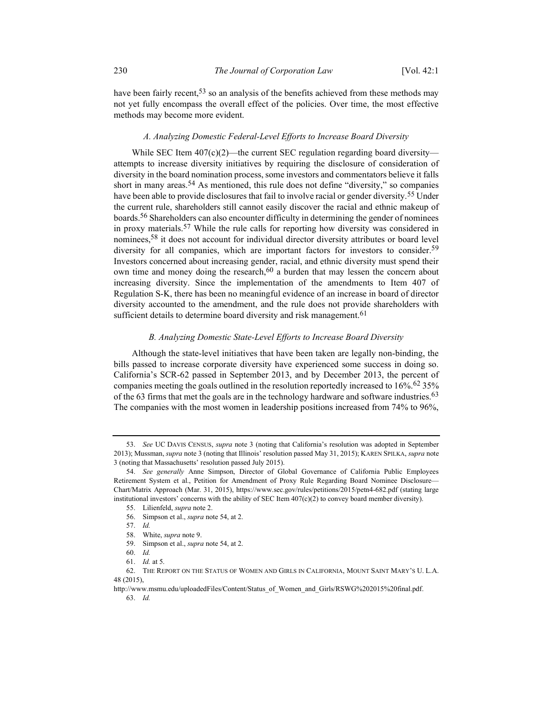have been fairly recent,<sup>53</sup> so an analysis of the benefits achieved from these methods may not yet fully encompass the overall effect of the policies. Over time, the most effective methods may become more evident.

## A. Analyzing Domestic Federal-Level Efforts to Increase Board Diversity

While SEC Item 407(c)(2)—the current SEC regulation regarding board diversity attempts to increase diversity initiatives by requiring the disclosure of consideration of diversity in the board nomination process, some investors and commentators believe it falls short in many areas.<sup>54</sup> As mentioned, this rule does not define "diversity," so companies have been able to provide disclosures that fail to involve racial or gender diversity.55 Under the current rule, shareholders still cannot easily discover the racial and ethnic makeup of boards.<sup>56</sup> Shareholders can also encounter difficulty in determining the gender of nominees in proxy materials.57 While the rule calls for reporting how diversity was considered in nominees,58 it does not account for individual director diversity attributes or board level diversity for all companies, which are important factors for investors to consider.<sup>59</sup> Investors concerned about increasing gender, racial, and ethnic diversity must spend their own time and money doing the research, $60$  a burden that may lessen the concern about increasing diversity. Since the implementation of the amendments to Item 407 of Regulation S-K, there has been no meaningful evidence of an increase in board of director diversity accounted to the amendment, and the rule does not provide shareholders with sufficient details to determine board diversity and risk management.<sup>61</sup>

## B. Analyzing Domestic State-Level Efforts to Increase Board Diversity

Although the state-level initiatives that have been taken are legally non-binding, the bills passed to increase corporate diversity have experienced some success in doing so. California's SCR-62 passed in September 2013, and by December 2013, the percent of companies meeting the goals outlined in the resolution reportedly increased to  $16\%$ .<sup>62</sup> 35% of the 63 firms that met the goals are in the technology hardware and software industries.<sup>63</sup> The companies with the most women in leadership positions increased from 74% to 96%,

<sup>53.</sup> See UC DAVIS CENSUS, supra note 3 (noting that California's resolution was adopted in September 2013); Mussman, *supra* note 3 (noting that Illinois' resolution passed May 31, 2015); KAREN SPILKA, *supra* note 3 (noting that Massachusetts' resolution passed July 2015).

<sup>54.</sup> See generally Anne Simpson, Director of Global Governance of California Public Employees Retirement System et al., Petition for Amendment of Proxy Rule Regarding Board Nominee Disclosure— Chart/Matrix Approach (Mar. 31, 2015), https://www.sec.gov/rules/petitions/2015/petn4-682.pdf (stating large institutional investors' concerns with the ability of SEC Item  $407(c)(2)$  to convey board member diversity).

 <sup>55.</sup> Lilienfeld, supra note 2.

 <sup>56.</sup> Simpson et al., supra note 54, at 2.

 <sup>57.</sup> Id.

 <sup>58.</sup> White, supra note 9.

 <sup>59.</sup> Simpson et al., supra note 54, at 2.

 <sup>60.</sup> Id.

 <sup>61.</sup> Id. at 5.

 <sup>62.</sup> THE REPORT ON THE STATUS OF WOMEN AND GIRLS IN CALIFORNIA, MOUNT SAINT MARY'S U. L.A. 48 (2015),

http://www.msmu.edu/uploadedFiles/Content/Status\_of\_Women\_and\_Girls/RSWG%202015%20final.pdf. 63. Id.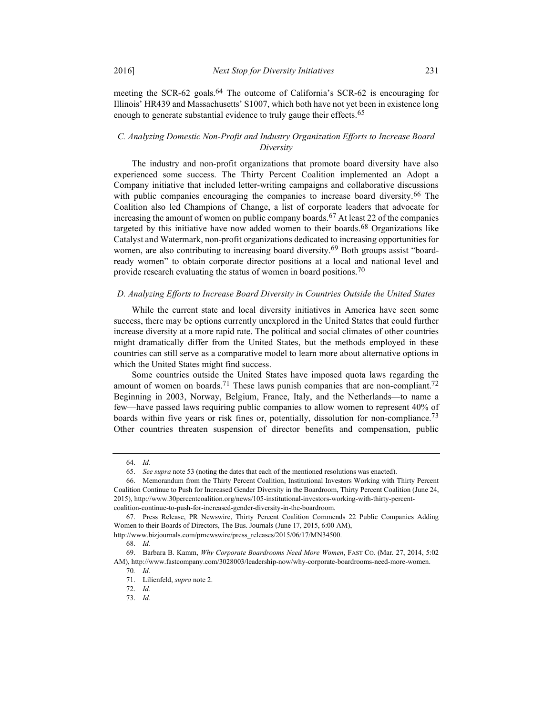meeting the SCR-62 goals.<sup>64</sup> The outcome of California's SCR-62 is encouraging for Illinois' HR439 and Massachusetts' S1007, which both have not yet been in existence long enough to generate substantial evidence to truly gauge their effects.<sup>65</sup>

## C. Analyzing Domestic Non-Profit and Industry Organization Efforts to Increase Board **Diversity**

The industry and non-profit organizations that promote board diversity have also experienced some success. The Thirty Percent Coalition implemented an Adopt a Company initiative that included letter-writing campaigns and collaborative discussions with public companies encouraging the companies to increase board diversity.<sup>66</sup> The Coalition also led Champions of Change, a list of corporate leaders that advocate for increasing the amount of women on public company boards.<sup>67</sup> At least 22 of the companies targeted by this initiative have now added women to their boards.<sup>68</sup> Organizations like Catalyst and Watermark, non-profit organizations dedicated to increasing opportunities for women, are also contributing to increasing board diversity.<sup>69</sup> Both groups assist "boardready women" to obtain corporate director positions at a local and national level and provide research evaluating the status of women in board positions.<sup>70</sup>

## D. Analyzing Efforts to Increase Board Diversity in Countries Outside the United States

While the current state and local diversity initiatives in America have seen some success, there may be options currently unexplored in the United States that could further increase diversity at a more rapid rate. The political and social climates of other countries might dramatically differ from the United States, but the methods employed in these countries can still serve as a comparative model to learn more about alternative options in which the United States might find success.

Some countries outside the United States have imposed quota laws regarding the amount of women on boards.<sup>71</sup> These laws punish companies that are non-compliant.<sup>72</sup> Beginning in 2003, Norway, Belgium, France, Italy, and the Netherlands—to name a few—have passed laws requiring public companies to allow women to represent 40% of boards within five years or risk fines or, potentially, dissolution for non-compliance.<sup>73</sup> Other countries threaten suspension of director benefits and compensation, public

 <sup>64.</sup> Id.

 <sup>65.</sup> See supra note 53 (noting the dates that each of the mentioned resolutions was enacted).

 <sup>66.</sup> Memorandum from the Thirty Percent Coalition, Institutional Investors Working with Thirty Percent Coalition Continue to Push for Increased Gender Diversity in the Boardroom, Thirty Percent Coalition (June 24, 2015), http://www.30percentcoalition.org/news/105-institutional-investors-working-with-thirty-percentcoalition-continue-to-push-for-increased-gender-diversity-in-the-boardroom.

 <sup>67.</sup> Press Release, PR Newswire, Thirty Percent Coalition Commends 22 Public Companies Adding

Women to their Boards of Directors, The Bus. Journals (June 17, 2015, 6:00 AM),

http://www.bizjournals.com/prnewswire/press\_releases/2015/06/17/MN34500.

 <sup>68.</sup> Id.

 <sup>69.</sup> Barbara B. Kamm, Why Corporate Boardrooms Need More Women, FAST CO. (Mar. 27, 2014, 5:02 AM), http://www.fastcompany.com/3028003/leadership-now/why-corporate-boardrooms-need-more-women.

<sup>70</sup>. Id. 71. Lilienfeld, supra note 2.

 <sup>72.</sup> Id.

 <sup>73.</sup> Id.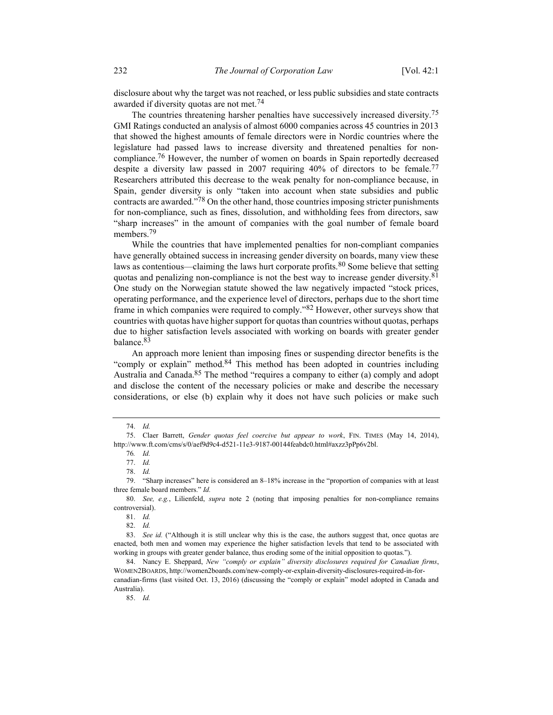disclosure about why the target was not reached, or less public subsidies and state contracts awarded if diversity quotas are not met.<sup>74</sup>

The countries threatening harsher penalties have successively increased diversity.75 GMI Ratings conducted an analysis of almost 6000 companies across 45 countries in 2013 that showed the highest amounts of female directors were in Nordic countries where the legislature had passed laws to increase diversity and threatened penalties for noncompliance.<sup>76</sup> However, the number of women on boards in Spain reportedly decreased despite a diversity law passed in 2007 requiring 40% of directors to be female.<sup>77</sup> Researchers attributed this decrease to the weak penalty for non-compliance because, in Spain, gender diversity is only "taken into account when state subsidies and public contracts are awarded."78 On the other hand, those countries imposing stricter punishments for non-compliance, such as fines, dissolution, and withholding fees from directors, saw "sharp increases" in the amount of companies with the goal number of female board members.<sup>79</sup>

While the countries that have implemented penalties for non-compliant companies have generally obtained success in increasing gender diversity on boards, many view these laws as contentious—claiming the laws hurt corporate profits.<sup>80</sup> Some believe that setting quotas and penalizing non-compliance is not the best way to increase gender diversity.<sup>81</sup> One study on the Norwegian statute showed the law negatively impacted "stock prices, operating performance, and the experience level of directors, perhaps due to the short time frame in which companies were required to comply."82 However, other surveys show that countries with quotas have higher support for quotas than countries without quotas, perhaps due to higher satisfaction levels associated with working on boards with greater gender balance.83

An approach more lenient than imposing fines or suspending director benefits is the "comply or explain" method.<sup>84</sup> This method has been adopted in countries including Australia and Canada.<sup>85</sup> The method "requires a company to either (a) comply and adopt and disclose the content of the necessary policies or make and describe the necessary considerations, or else (b) explain why it does not have such policies or make such

78. Id.

81. Id.

82. Id.

83. See id. ("Although it is still unclear why this is the case, the authors suggest that, once quotas are enacted, both men and women may experience the higher satisfaction levels that tend to be associated with working in groups with greater gender balance, thus eroding some of the initial opposition to quotas.").

85. Id.

 <sup>74.</sup> Id.

 <sup>75.</sup> Claer Barrett, Gender quotas feel coercive but appear to work, FIN. TIMES (May 14, 2014), http://www.ft.com/cms/s/0/aef9d9c4-d521-11e3-9187-00144feabdc0.html#axzz3pPp6v2bl.

<sup>76</sup>. Id.

 <sup>77.</sup> Id.

 <sup>79. &</sup>quot;Sharp increases" here is considered an 8–18% increase in the "proportion of companies with at least three female board members." Id.

 <sup>80.</sup> See, e.g., Lilienfeld, supra note 2 (noting that imposing penalties for non-compliance remains controversial).

 <sup>84.</sup> Nancy E. Sheppard, New "comply or explain" diversity disclosures required for Canadian firms, WOMEN2BOARDS, http://women2boards.com/new-comply-or-explain-diversity-disclosures-required-in-for-

canadian-firms (last visited Oct. 13, 2016) (discussing the "comply or explain" model adopted in Canada and Australia).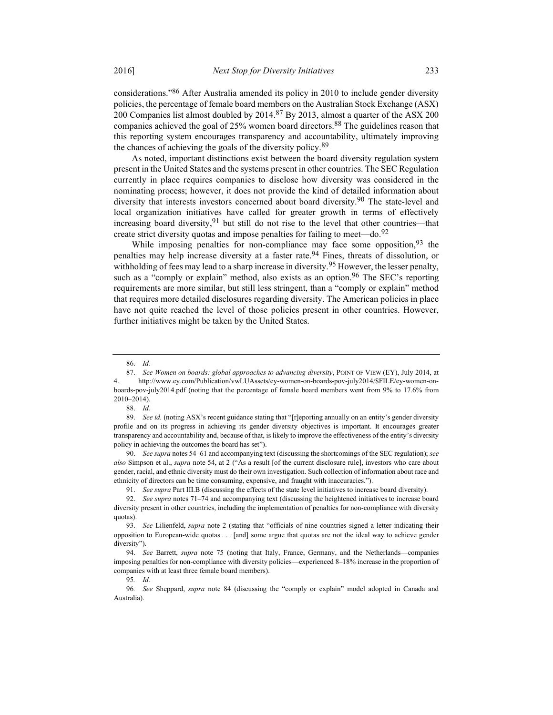considerations."86 After Australia amended its policy in 2010 to include gender diversity policies, the percentage of female board members on the Australian Stock Exchange (ASX) 200 Companies list almost doubled by 2014.<sup>87</sup> By 2013, almost a quarter of the ASX 200 companies achieved the goal of 25% women board directors.<sup>88</sup> The guidelines reason that this reporting system encourages transparency and accountability, ultimately improving the chances of achieving the goals of the diversity policy.<sup>89</sup>

As noted, important distinctions exist between the board diversity regulation system present in the United States and the systems present in other countries. The SEC Regulation currently in place requires companies to disclose how diversity was considered in the nominating process; however, it does not provide the kind of detailed information about diversity that interests investors concerned about board diversity.90 The state-level and local organization initiatives have called for greater growth in terms of effectively increasing board diversity,  $91$  but still do not rise to the level that other countries—that create strict diversity quotas and impose penalties for failing to meet—do.<sup>92</sup>

While imposing penalties for non-compliance may face some opposition,  $93$  the penalties may help increase diversity at a faster rate.94 Fines, threats of dissolution, or withholding of fees may lead to a sharp increase in diversity.<sup>95</sup> However, the lesser penalty, such as a "comply or explain" method, also exists as an option.<sup>96</sup> The SEC's reporting requirements are more similar, but still less stringent, than a "comply or explain" method that requires more detailed disclosures regarding diversity. The American policies in place have not quite reached the level of those policies present in other countries. However, further initiatives might be taken by the United States.

 <sup>86.</sup> Id.

<sup>87.</sup> See Women on boards: global approaches to advancing diversity, POINT OF VIEW (EY), July 2014, at 4. http://www.ey.com/Publication/vwLUAssets/ey-women-on-boards-pov-july2014/\$FILE/ey-women-onboards-pov-july2014.pdf (noting that the percentage of female board members went from 9% to 17.6% from 2010–2014).

 <sup>88.</sup> Id.

<sup>89.</sup> See id. (noting ASX's recent guidance stating that "[r]eporting annually on an entity's gender diversity profile and on its progress in achieving its gender diversity objectives is important. It encourages greater transparency and accountability and, because of that, is likely to improve the effectiveness of the entity's diversity policy in achieving the outcomes the board has set").

<sup>90.</sup> See supra notes 54–61 and accompanying text (discussing the shortcomings of the SEC regulation); see also Simpson et al., *supra* note 54, at 2 ("As a result [of the current disclosure rule], investors who care about gender, racial, and ethnic diversity must do their own investigation. Such collection of information about race and ethnicity of directors can be time consuming, expensive, and fraught with inaccuracies.").

 <sup>91.</sup> See supra Part III.B (discussing the effects of the state level initiatives to increase board diversity).

 <sup>92.</sup> See supra notes 71–74 and accompanying text (discussing the heightened initiatives to increase board diversity present in other countries, including the implementation of penalties for non-compliance with diversity quotas).

<sup>93.</sup> See Lilienfeld, supra note 2 (stating that "officials of nine countries signed a letter indicating their opposition to European-wide quotas . . . [and] some argue that quotas are not the ideal way to achieve gender diversity").

<sup>94.</sup> See Barrett, *supra* note 75 (noting that Italy, France, Germany, and the Netherlands—companies imposing penalties for non-compliance with diversity policies—experienced 8–18% increase in the proportion of companies with at least three female board members).

<sup>95</sup>. Id.

<sup>96</sup>. See Sheppard, supra note 84 (discussing the "comply or explain" model adopted in Canada and Australia).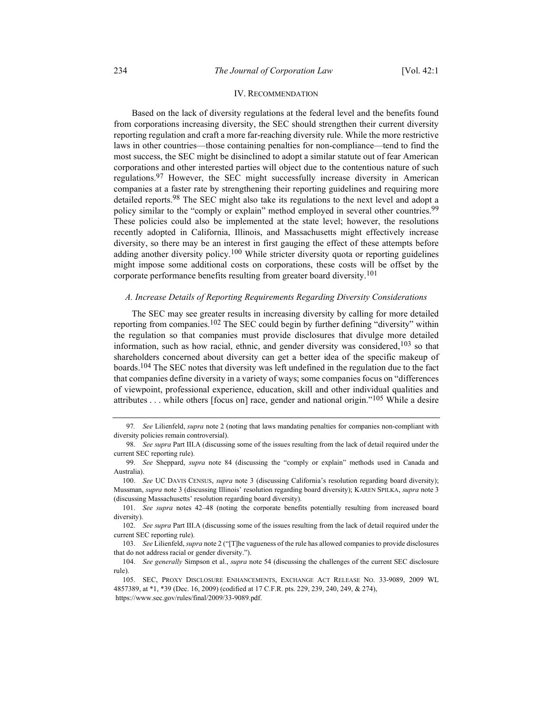## IV. RECOMMENDATION

Based on the lack of diversity regulations at the federal level and the benefits found from corporations increasing diversity, the SEC should strengthen their current diversity reporting regulation and craft a more far-reaching diversity rule. While the more restrictive laws in other countries—those containing penalties for non-compliance—tend to find the most success, the SEC might be disinclined to adopt a similar statute out of fear American corporations and other interested parties will object due to the contentious nature of such regulations.<sup>97</sup> However, the SEC might successfully increase diversity in American companies at a faster rate by strengthening their reporting guidelines and requiring more detailed reports.<sup>98</sup> The SEC might also take its regulations to the next level and adopt a policy similar to the "comply or explain" method employed in several other countries.<sup>99</sup> These policies could also be implemented at the state level; however, the resolutions recently adopted in California, Illinois, and Massachusetts might effectively increase diversity, so there may be an interest in first gauging the effect of these attempts before adding another diversity policy.<sup>100</sup> While stricter diversity quota or reporting guidelines might impose some additional costs on corporations, these costs will be offset by the corporate performance benefits resulting from greater board diversity.<sup>101</sup>

## A. Increase Details of Reporting Requirements Regarding Diversity Considerations

The SEC may see greater results in increasing diversity by calling for more detailed reporting from companies.<sup>102</sup> The SEC could begin by further defining "diversity" within the regulation so that companies must provide disclosures that divulge more detailed information, such as how racial, ethnic, and gender diversity was considered,  $103$  so that shareholders concerned about diversity can get a better idea of the specific makeup of boards.<sup>104</sup> The SEC notes that diversity was left undefined in the regulation due to the fact that companies define diversity in a variety of ways; some companies focus on "differences of viewpoint, professional experience, education, skill and other individual qualities and attributes . . . while others [focus on] race, gender and national origin."<sup>105</sup> While a desire

<sup>97.</sup> See Lilienfeld, supra note 2 (noting that laws mandating penalties for companies non-compliant with diversity policies remain controversial).

 <sup>98.</sup> See supra Part III.A (discussing some of the issues resulting from the lack of detail required under the current SEC reporting rule).

 <sup>99.</sup> See Sheppard, supra note 84 (discussing the "comply or explain" methods used in Canada and Australia).

<sup>100.</sup> See UC DAVIS CENSUS, supra note 3 (discussing California's resolution regarding board diversity); Mussman, supra note 3 (discussing Illinois' resolution regarding board diversity); KAREN SPILKA, supra note 3 (discussing Massachusetts' resolution regarding board diversity).

 <sup>101.</sup> See supra notes 42–48 (noting the corporate benefits potentially resulting from increased board diversity).

 <sup>102.</sup> See supra Part III.A (discussing some of the issues resulting from the lack of detail required under the current SEC reporting rule).

 <sup>103.</sup> See Lilienfeld, supra note 2 ("[T]he vagueness of the rule has allowed companies to provide disclosures that do not address racial or gender diversity.").

<sup>104.</sup> See generally Simpson et al., supra note 54 (discussing the challenges of the current SEC disclosure rule).

 <sup>105.</sup> SEC, PROXY DISCLOSURE ENHANCEMENTS, EXCHANGE ACT RELEASE NO. 33-9089, 2009 WL 4857389, at \*1, \*39 (Dec. 16, 2009) (codified at 17 C.F.R. pts. 229, 239, 240, 249, & 274),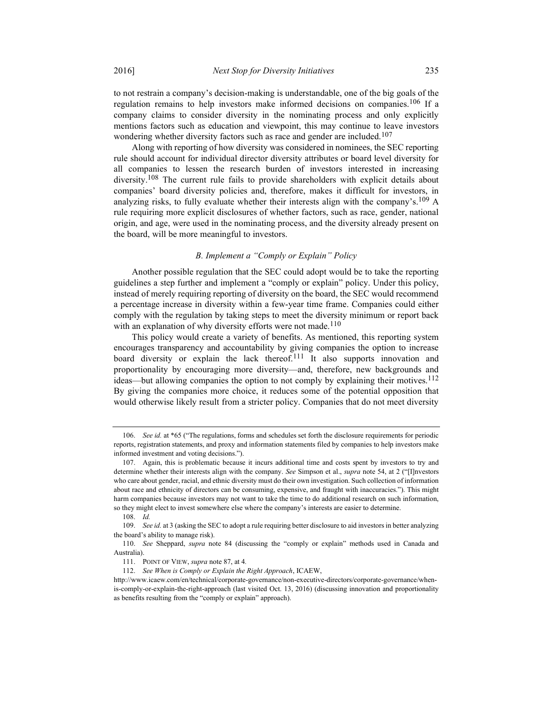to not restrain a company's decision-making is understandable, one of the big goals of the regulation remains to help investors make informed decisions on companies.<sup>106</sup> If a company claims to consider diversity in the nominating process and only explicitly mentions factors such as education and viewpoint, this may continue to leave investors wondering whether diversity factors such as race and gender are included.<sup>107</sup>

Along with reporting of how diversity was considered in nominees, the SEC reporting rule should account for individual director diversity attributes or board level diversity for all companies to lessen the research burden of investors interested in increasing diversity.<sup>108</sup> The current rule fails to provide shareholders with explicit details about companies' board diversity policies and, therefore, makes it difficult for investors, in analyzing risks, to fully evaluate whether their interests align with the company's.<sup>109</sup> A rule requiring more explicit disclosures of whether factors, such as race, gender, national origin, and age, were used in the nominating process, and the diversity already present on the board, will be more meaningful to investors.

## B. Implement a "Comply or Explain" Policy

Another possible regulation that the SEC could adopt would be to take the reporting guidelines a step further and implement a "comply or explain" policy. Under this policy, instead of merely requiring reporting of diversity on the board, the SEC would recommend a percentage increase in diversity within a few-year time frame. Companies could either comply with the regulation by taking steps to meet the diversity minimum or report back with an explanation of why diversity efforts were not made.<sup>110</sup>

This policy would create a variety of benefits. As mentioned, this reporting system encourages transparency and accountability by giving companies the option to increase board diversity or explain the lack thereof.<sup>111</sup> It also supports innovation and proportionality by encouraging more diversity—and, therefore, new backgrounds and ideas—but allowing companies the option to not comply by explaining their motives.<sup>112</sup> By giving the companies more choice, it reduces some of the potential opposition that would otherwise likely result from a stricter policy. Companies that do not meet diversity

 <sup>106.</sup> See id. at \*65 ("The regulations, forms and schedules set forth the disclosure requirements for periodic reports, registration statements, and proxy and information statements filed by companies to help investors make informed investment and voting decisions.").

 <sup>107.</sup> Again, this is problematic because it incurs additional time and costs spent by investors to try and determine whether their interests align with the company. See Simpson et al., supra note 54, at 2 ("[I]nvestors who care about gender, racial, and ethnic diversity must do their own investigation. Such collection of information about race and ethnicity of directors can be consuming, expensive, and fraught with inaccuracies."). This might harm companies because investors may not want to take the time to do additional research on such information, so they might elect to invest somewhere else where the company's interests are easier to determine.

 <sup>108.</sup> Id.

<sup>109.</sup> See id. at 3 (asking the SEC to adopt a rule requiring better disclosure to aid investors in better analyzing the board's ability to manage risk).

 <sup>110.</sup> See Sheppard, supra note 84 (discussing the "comply or explain" methods used in Canada and Australia).

<sup>111.</sup> POINT OF VIEW, supra note 87, at 4.

 <sup>112.</sup> See When is Comply or Explain the Right Approach, ICAEW,

http://www.icaew.com/en/technical/corporate-governance/non-executive-directors/corporate-governance/whenis-comply-or-explain-the-right-approach (last visited Oct. 13, 2016) (discussing innovation and proportionality as benefits resulting from the "comply or explain" approach).